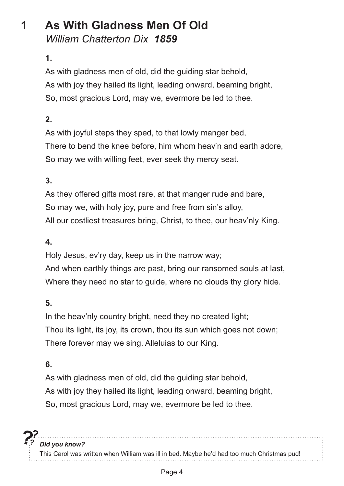# **1 As With Gladness Men Of Old** *William Chatterton Dix 1859*

#### **1.**

As with gladness men of old, did the guiding star behold, As with joy they hailed its light, leading onward, beaming bright, So, most gracious Lord, may we, evermore be led to thee.

#### **2.**

As with joyful steps they sped, to that lowly manger bed, There to bend the knee before, him whom heav'n and earth adore, So may we with willing feet, ever seek thy mercy seat.

#### **3.**

As they offered gifts most rare, at that manger rude and bare, So may we, with holy joy, pure and free from sin's alloy, All our costliest treasures bring, Christ, to thee, our heav'nly King.

#### **4.**

Holy Jesus, ev'ry day, keep us in the narrow way;

And when earthly things are past, bring our ransomed souls at last, Where they need no star to guide, where no clouds thy glory hide.

#### **5.**

In the heav'nly country bright, need they no created light; Thou its light, its joy, its crown, thou its sun which goes not down; There forever may we sing. Alleluias to our King.

#### **6.**

As with gladness men of old, did the guiding star behold, As with joy they hailed its light, leading onward, beaming bright, So, most gracious Lord, may we, evermore be led to thee.

*Did you know?* This Carol was written when William was ill in bed. Maybe he'd had too much Christmas pud!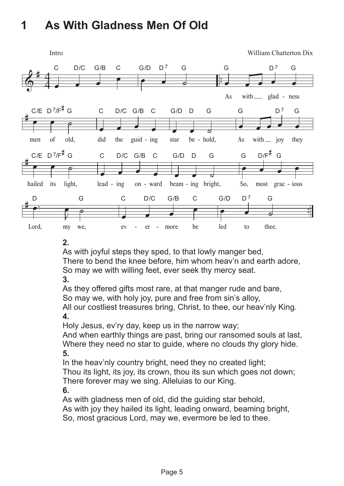# **1. As With Gladness Men Of Old 1 As With Gladness Men Of Old**



#### **2.**

As with joyful steps they sped, to that lowly manger bed, There to bend the knee before, him whom heav'n and earth adore, So may we with willing feet, ever seek thy mercy seat.

**3.**

As they offered gifts most rare, at that manger rude and bare, So may we, with holy joy, pure and free from sin's alloy,

All our costliest treasures bring, Christ, to thee, our heav'nly King. **4.**

Holy Jesus, ev'ry day, keep us in the narrow way;

And when earthly things are past, bring our ransomed souls at last, Where they need no star to guide, where no clouds thy glory hide. **5.**

In the heav'nly country bright, need they no created light; Thou its light, its joy, its crown, thou its sun which goes not down; There forever may we sing. Alleluias to our King.

**6.**

As with gladness men of old, did the guiding star behold,

As with joy they hailed its light, leading onward, beaming bright,

So, most gracious Lord, may we, evermore be led to thee.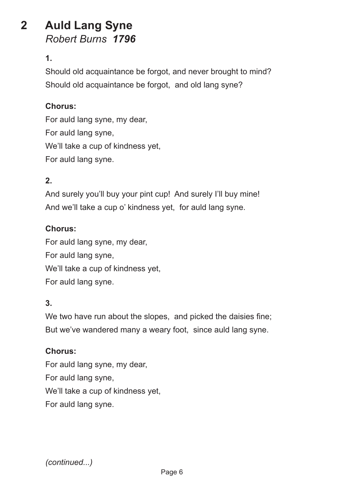## **2 Auld Lang Syne** *Robert Burns 1796*

#### **1.**

Should old acquaintance be forgot, and never brought to mind? Should old acquaintance be forgot, and old lang syne?

#### **Chorus:**

For auld lang syne, my dear, For auld lang syne, We'll take a cup of kindness yet, For auld lang syne.

#### **2.**

And surely you'll buy your pint cup! And surely I'll buy mine! And we'll take a cup o' kindness yet, for auld lang syne.

#### **Chorus:**

For auld lang syne, my dear, For auld lang syne, We'll take a cup of kindness yet, For auld lang syne.

#### **3.**

We two have run about the slopes, and picked the daisies fine; But we've wandered many a weary foot, since auld lang syne.

#### **Chorus:**

For auld lang syne, my dear, For auld lang syne, We'll take a cup of kindness yet, For auld lang syne.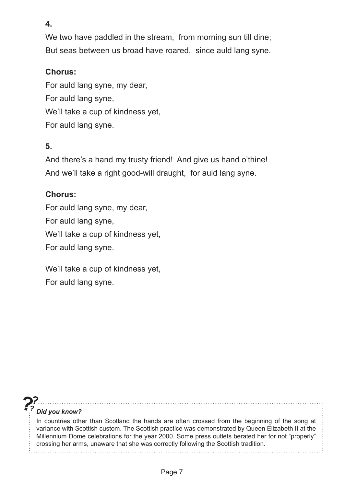**4.**

We two have paddled in the stream, from morning sun till dine; But seas between us broad have roared, since auld lang syne.

#### **Chorus:**

For auld lang syne, my dear, For auld lang syne, We'll take a cup of kindness yet, For auld lang syne.

### **5.**

And there's a hand my trusty friend! And give us hand o'thine! And we'll take a right good-will draught, for auld lang syne.

#### **Chorus:**

For auld lang syne, my dear, For auld lang syne, We'll take a cup of kindness yet, For auld lang syne.

We'll take a cup of kindness yet, For auld lang syne.

#### *Did you know?*

In countries other than Scotland the hands are often crossed from the beginning of the song at variance with Scottish custom. The Scottish practice was demonstrated by Queen Elizabeth II at the Millennium Dome celebrations for the year 2000. Some press outlets berated her for not "properly" crossing her arms, unaware that she was correctly following the Scottish tradition.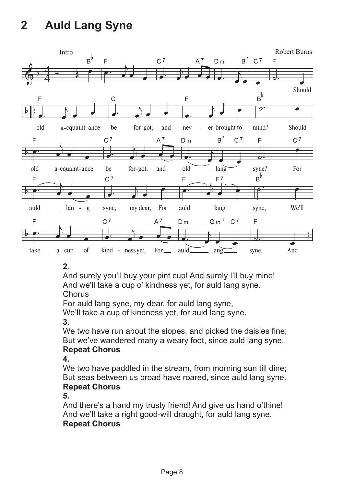# **2. Auld Lang Syne 2 Auld Lang Syne**



#### **2**.

And surely you'll buy your pint cup! And surely I'll buy mine! And we'll take a cup o' kindness yet, for auld lang syne. **Chorus** 

For auld lang syne, my dear, for auld lang syne,

We'll take a cup of kindness yet, for auld lang syne.

**3**.

We two have run about the slopes, and picked the daisies fine; But we've wandered many a weary foot, since auld lang syne.

#### **Repeat Chorus**

**4.**

We two have paddled in the stream, from morning sun till dine; But seas between us broad have roared, since auld lang syne. **Repeat Chorus**

**5.**

And there's a hand my trusty friend! And give us hand o'thine! And we'll take a right good-will draught, for auld lang syne. **Repeat Chorus**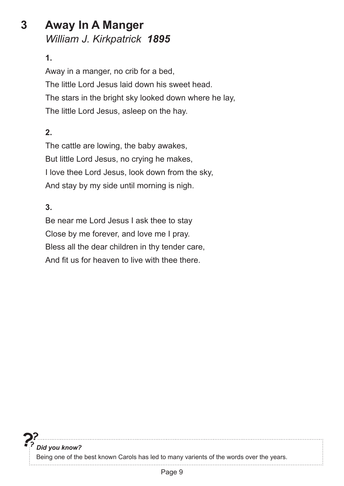## **3 Away In A Manger** *William J. Kirkpatrick 1895*

#### **1.**

Away in a manger, no crib for a bed, The little Lord Jesus laid down his sweet head. The stars in the bright sky looked down where he lay, The little Lord Jesus, asleep on the hay.

#### **2.**

The cattle are lowing, the baby awakes, But little Lord Jesus, no crying he makes, I love thee Lord Jesus, look down from the sky, And stay by my side until morning is nigh.

#### **3.**

Be near me Lord Jesus I ask thee to stay Close by me forever, and love me I pray. Bless all the dear children in thy tender care, And fit us for heaven to live with thee there.